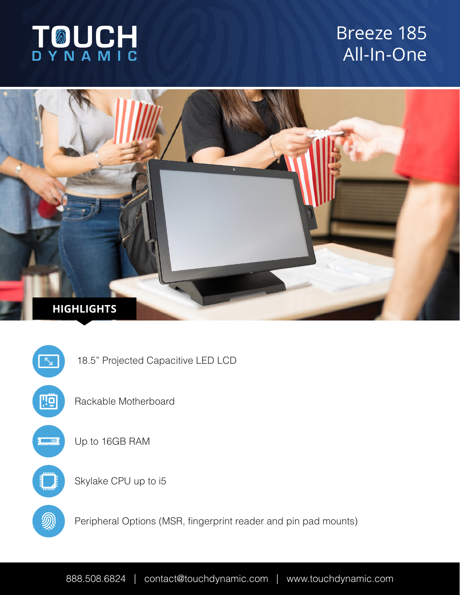

# Breeze 185 All-In-One





888.508.6824 | contact@touchdynamic.com | www.touchdynamic.com